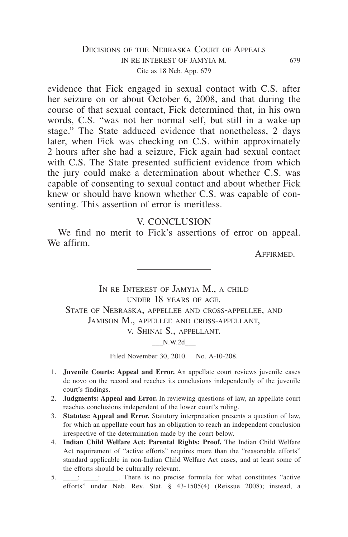## DECISIONS OF THE NEBRASKA COURT OF APPEALS in re interest of jamyia m. 679 Cite as 18 Neb. App. 679

evidence that Fick engaged in sexual contact with C.S. after her seizure on or about October 6, 2008, and that during the course of that sexual contact, Fick determined that, in his own words, C.S. "was not her normal self, but still in a wake-up stage." The State adduced evidence that nonetheless, 2 days later, when Fick was checking on C.S. within approximately 2 hours after she had a seizure, Fick again had sexual contact with C.S. The State presented sufficient evidence from which the jury could make a determination about whether C.S. was capable of consenting to sexual contact and about whether Fick knew or should have known whether C.S. was capable of consenting. This assertion of error is meritless.

#### V. CONCLUSION

We find no merit to Fick's assertions of error on appeal. We affirm.

Affirmed.

IN RE INTEREST OF JAMYIA M., A CHILD under 18 years of age. State of Nebraska, appellee and cross-appellee, and Jamison M., appellee and cross-appellant, v. Shinai S., appellant.

\_\_\_N.W.2d\_\_\_

Filed November 30, 2010. No. A-10-208.

- 1. **Juvenile Courts: Appeal and Error.** An appellate court reviews juvenile cases de novo on the record and reaches its conclusions independently of the juvenile court's findings.
- 2. **Judgments: Appeal and Error.** In reviewing questions of law, an appellate court reaches conclusions independent of the lower court's ruling.
- 3. **Statutes: Appeal and Error.** Statutory interpretation presents a question of law, for which an appellate court has an obligation to reach an independent conclusion irrespective of the determination made by the court below.
- 4. **Indian Child Welfare Act: Parental Rights: Proof.** The Indian Child Welfare Act requirement of "active efforts" requires more than the "reasonable efforts" standard applicable in non-Indian Child Welfare Act cases, and at least some of the efforts should be culturally relevant.
- 5. \_\_\_\_: \_\_\_\_: \_\_\_\_. There is no precise formula for what constitutes "active efforts" under Neb. Rev. Stat. § 43-1505(4) (Reissue 2008); instead, a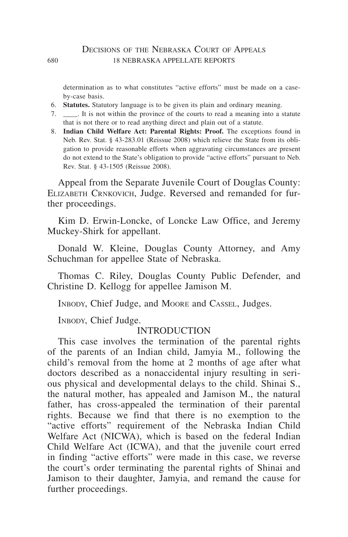#### DECISIONS OF THE NEBRASKA COURT OF APPEALS 680 18 nebraska appellate reports

determination as to what constitutes "active efforts" must be made on a caseby-case basis.

- 6. **Statutes.** Statutory language is to be given its plain and ordinary meaning.
- 7. \_\_\_\_. It is not within the province of the courts to read a meaning into a statute that is not there or to read anything direct and plain out of a statute.
- 8. **Indian Child Welfare Act: Parental Rights: Proof.** The exceptions found in Neb. Rev. Stat. § 43-283.01 (Reissue 2008) which relieve the State from its obligation to provide reasonable efforts when aggravating circumstances are present do not extend to the State's obligation to provide "active efforts" pursuant to Neb. Rev. Stat. § 43-1505 (Reissue 2008).

Appeal from the Separate Juvenile Court of Douglas County: ELIZABETH CRNKOVICH, Judge. Reversed and remanded for further proceedings.

Kim D. Erwin-Loncke, of Loncke Law Office, and Jeremy Muckey-Shirk for appellant.

Donald W. Kleine, Douglas County Attorney, and Amy Schuchman for appellee State of Nebraska.

Thomas C. Riley, Douglas County Public Defender, and Christine D. Kellogg for appellee Jamison M.

INBODY, Chief Judge, and Moore and Cassel, Judges.

INBODY, Chief Judge.

#### INTRODUCTION

This case involves the termination of the parental rights of the parents of an Indian child, Jamyia M., following the child's removal from the home at 2 months of age after what doctors described as a nonaccidental injury resulting in serious physical and developmental delays to the child. Shinai S., the natural mother, has appealed and Jamison M., the natural father, has cross-appealed the termination of their parental rights. Because we find that there is no exemption to the "active efforts" requirement of the Nebraska Indian Child Welfare Act (NICWA), which is based on the federal Indian Child Welfare Act (ICWA), and that the juvenile court erred in finding "active efforts" were made in this case, we reverse the court's order terminating the parental rights of Shinai and Jamison to their daughter, Jamyia, and remand the cause for further proceedings.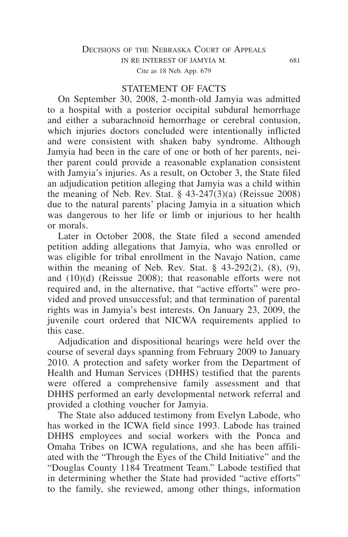## STATEMENT OF FACTS

On September 30, 2008, 2-month-old Jamyia was admitted to a hospital with a posterior occipital subdural hemorrhage and either a subarachnoid hemorrhage or cerebral contusion, which injuries doctors concluded were intentionally inflicted and were consistent with shaken baby syndrome. Although Jamyia had been in the care of one or both of her parents, neither parent could provide a reasonable explanation consistent with Jamyia's injuries. As a result, on October 3, the State filed an adjudication petition alleging that Jamyia was a child within the meaning of Neb. Rev. Stat.  $\S$  43-247(3)(a) (Reissue 2008) due to the natural parents' placing Jamyia in a situation which was dangerous to her life or limb or injurious to her health or morals.

Later in October 2008, the State filed a second amended petition adding allegations that Jamyia, who was enrolled or was eligible for tribal enrollment in the Navajo Nation, came within the meaning of Neb. Rev. Stat. § 43-292(2), (8), (9), and (10)(d) (Reissue 2008); that reasonable efforts were not required and, in the alternative, that "active efforts" were provided and proved unsuccessful; and that termination of parental rights was in Jamyia's best interests. On January 23, 2009, the juvenile court ordered that NICWA requirements applied to this case.

Adjudication and dispositional hearings were held over the course of several days spanning from February 2009 to January 2010. A protection and safety worker from the Department of Health and Human Services (DHHS) testified that the parents were offered a comprehensive family assessment and that DHHS performed an early developmental network referral and provided a clothing voucher for Jamyia.

The State also adduced testimony from Evelyn Labode, who has worked in the ICWA field since 1993. Labode has trained DHHS employees and social workers with the Ponca and Omaha Tribes on ICWA regulations, and she has been affiliated with the "Through the Eyes of the Child Initiative" and the "Douglas County 1184 Treatment Team." Labode testified that in determining whether the State had provided "active efforts" to the family, she reviewed, among other things, information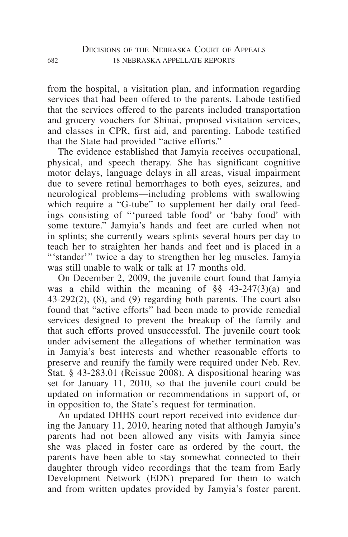from the hospital, a visitation plan, and information regarding services that had been offered to the parents. Labode testified that the services offered to the parents included transportation and grocery vouchers for Shinai, proposed visitation services, and classes in CPR, first aid, and parenting. Labode testified that the State had provided "active efforts."

The evidence established that Jamyia receives occupational, physical, and speech therapy. She has significant cognitive motor delays, language delays in all areas, visual impairment due to severe retinal hemorrhages to both eyes, seizures, and neurological problems—including problems with swallowing which require a "G-tube" to supplement her daily oral feedings consisting of "'pureed table food' or 'baby food' with some texture." Jamyia's hands and feet are curled when not in splints; she currently wears splints several hours per day to teach her to straighten her hands and feet and is placed in a "'stander'" twice a day to strengthen her leg muscles. Jamyia was still unable to walk or talk at 17 months old.

On December 2, 2009, the juvenile court found that Jamyia was a child within the meaning of §§ 43-247(3)(a) and 43-292(2), (8), and (9) regarding both parents. The court also found that "active efforts" had been made to provide remedial services designed to prevent the breakup of the family and that such efforts proved unsuccessful. The juvenile court took under advisement the allegations of whether termination was in Jamyia's best interests and whether reasonable efforts to preserve and reunify the family were required under Neb. Rev. Stat. § 43-283.01 (Reissue 2008). A dispositional hearing was set for January 11, 2010, so that the juvenile court could be updated on information or recommendations in support of, or in opposition to, the State's request for termination.

An updated DHHS court report received into evidence during the January 11, 2010, hearing noted that although Jamyia's parents had not been allowed any visits with Jamyia since she was placed in foster care as ordered by the court, the parents have been able to stay somewhat connected to their daughter through video recordings that the team from Early Development Network (EDN) prepared for them to watch and from written updates provided by Jamyia's foster parent.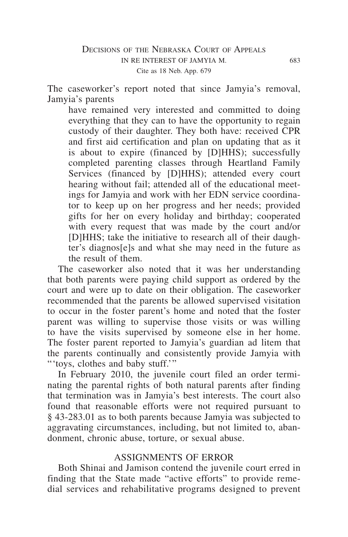The caseworker's report noted that since Jamyia's removal, Jamyia's parents

have remained very interested and committed to doing everything that they can to have the opportunity to regain custody of their daughter. They both have: received CPR and first aid certification and plan on updating that as it is about to expire (financed by [D]HHS); successfully completed parenting classes through Heartland Family Services (financed by [D]HHS); attended every court hearing without fail; attended all of the educational meetings for Jamyia and work with her EDN service coordinator to keep up on her progress and her needs; provided gifts for her on every holiday and birthday; cooperated with every request that was made by the court and/or [D]HHS; take the initiative to research all of their daughter's diagnos[e]s and what she may need in the future as the result of them.

The caseworker also noted that it was her understanding that both parents were paying child support as ordered by the court and were up to date on their obligation. The caseworker recommended that the parents be allowed supervised visitation to occur in the foster parent's home and noted that the foster parent was willing to supervise those visits or was willing to have the visits supervised by someone else in her home. The foster parent reported to Jamyia's guardian ad litem that the parents continually and consistently provide Jamyia with "'toys, clothes and baby stuff.'"

In February 2010, the juvenile court filed an order terminating the parental rights of both natural parents after finding that termination was in Jamyia's best interests. The court also found that reasonable efforts were not required pursuant to § 43-283.01 as to both parents because Jamyia was subjected to aggravating circumstances, including, but not limited to, abandonment, chronic abuse, torture, or sexual abuse.

# ASSIGNMENTS OF ERROR

Both Shinai and Jamison contend the juvenile court erred in finding that the State made "active efforts" to provide remedial services and rehabilitative programs designed to prevent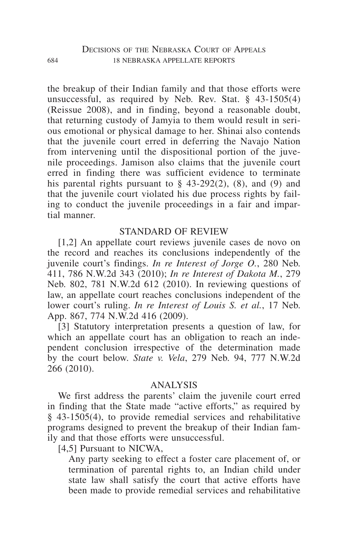the breakup of their Indian family and that those efforts were unsuccessful, as required by Neb. Rev. Stat. § 43-1505(4) (Reissue 2008), and in finding, beyond a reasonable doubt, that returning custody of Jamyia to them would result in serious emotional or physical damage to her. Shinai also contends that the juvenile court erred in deferring the Navajo Nation from intervening until the dispositional portion of the juvenile proceedings. Jamison also claims that the juvenile court erred in finding there was sufficient evidence to terminate his parental rights pursuant to  $\S$  43-292(2), (8), and (9) and that the juvenile court violated his due process rights by failing to conduct the juvenile proceedings in a fair and impartial manner.

# STANDARD OF REVIEW

[1,2] An appellate court reviews juvenile cases de novo on the record and reaches its conclusions independently of the juvenile court's findings. *In re Interest of Jorge O.*, 280 Neb. 411, 786 N.W.2d 343 (2010); *In re Interest of Dakota M.*, 279 Neb. 802, 781 N.W.2d 612 (2010). In reviewing questions of law, an appellate court reaches conclusions independent of the lower court's ruling. *In re Interest of Louis S. et al.*, 17 Neb. App. 867, 774 N.W.2d 416 (2009).

[3] Statutory interpretation presents a question of law, for which an appellate court has an obligation to reach an independent conclusion irrespective of the determination made by the court below. *State v. Vela*, 279 Neb. 94, 777 N.W.2d 266 (2010).

## ANALYSIS

We first address the parents' claim the juvenile court erred in finding that the State made "active efforts," as required by § 43-1505(4), to provide remedial services and rehabilitative programs designed to prevent the breakup of their Indian family and that those efforts were unsuccessful.

[4.5] Pursuant to NICWA,

Any party seeking to effect a foster care placement of, or termination of parental rights to, an Indian child under state law shall satisfy the court that active efforts have been made to provide remedial services and rehabilitative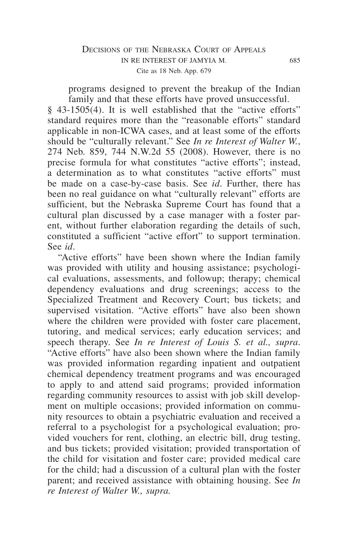programs designed to prevent the breakup of the Indian family and that these efforts have proved unsuccessful.

§ 43-1505(4). It is well established that the "active efforts" standard requires more than the "reasonable efforts" standard applicable in non-ICWA cases, and at least some of the efforts should be "culturally relevant." See *In re Interest of Walter W.*, 274 Neb. 859, 744 N.W.2d 55 (2008). However, there is no precise formula for what constitutes "active efforts"; instead, a determination as to what constitutes "active efforts" must be made on a case-by-case basis. See *id*. Further, there has been no real guidance on what "culturally relevant" efforts are sufficient, but the Nebraska Supreme Court has found that a cultural plan discussed by a case manager with a foster parent, without further elaboration regarding the details of such, constituted a sufficient "active effort" to support termination. See *id*.

"Active efforts" have been shown where the Indian family was provided with utility and housing assistance; psychological evaluations, assessments, and followup; therapy; chemical dependency evaluations and drug screenings; access to the Specialized Treatment and Recovery Court; bus tickets; and supervised visitation. "Active efforts" have also been shown where the children were provided with foster care placement, tutoring, and medical services; early education services; and speech therapy. See *In re Interest of Louis S. et al., supra*. "Active efforts" have also been shown where the Indian family was provided information regarding inpatient and outpatient chemical dependency treatment programs and was encouraged to apply to and attend said programs; provided information regarding community resources to assist with job skill development on multiple occasions; provided information on community resources to obtain a psychiatric evaluation and received a referral to a psychologist for a psychological evaluation; provided vouchers for rent, clothing, an electric bill, drug testing, and bus tickets; provided visitation; provided transportation of the child for visitation and foster care; provided medical care for the child; had a discussion of a cultural plan with the foster parent; and received assistance with obtaining housing. See *In re Interest of Walter W., supra.*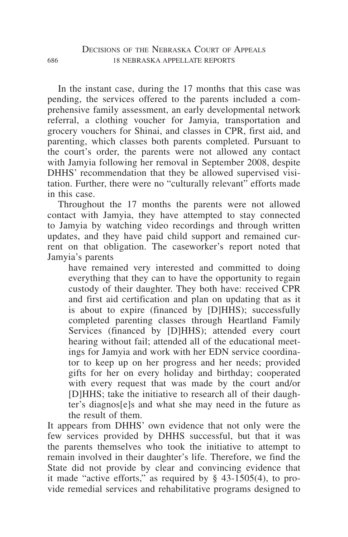In the instant case, during the 17 months that this case was pending, the services offered to the parents included a comprehensive family assessment, an early developmental network referral, a clothing voucher for Jamyia, transportation and grocery vouchers for Shinai, and classes in CPR, first aid, and parenting, which classes both parents completed. Pursuant to the court's order, the parents were not allowed any contact with Jamyia following her removal in September 2008, despite DHHS' recommendation that they be allowed supervised visitation. Further, there were no "culturally relevant" efforts made in this case.

Throughout the 17 months the parents were not allowed contact with Jamyia, they have attempted to stay connected to Jamyia by watching video recordings and through written updates, and they have paid child support and remained current on that obligation. The caseworker's report noted that Jamyia's parents

have remained very interested and committed to doing everything that they can to have the opportunity to regain custody of their daughter. They both have: received CPR and first aid certification and plan on updating that as it is about to expire (financed by [D]HHS); successfully completed parenting classes through Heartland Family Services (financed by [D]HHS); attended every court hearing without fail; attended all of the educational meetings for Jamyia and work with her EDN service coordinator to keep up on her progress and her needs; provided gifts for her on every holiday and birthday; cooperated with every request that was made by the court and/or [D]HHS; take the initiative to research all of their daughter's diagnos[e]s and what she may need in the future as the result of them.

It appears from DHHS' own evidence that not only were the few services provided by DHHS successful, but that it was the parents themselves who took the initiative to attempt to remain involved in their daughter's life. Therefore, we find the State did not provide by clear and convincing evidence that it made "active efforts," as required by § 43-1505(4), to provide remedial services and rehabilitative programs designed to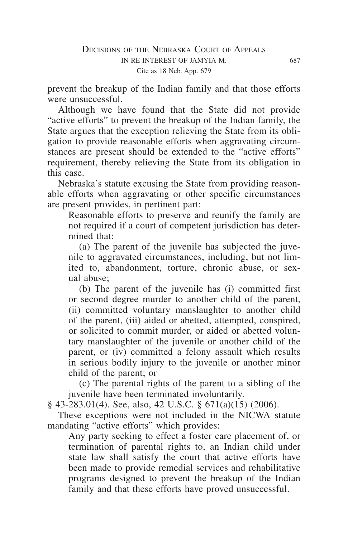prevent the breakup of the Indian family and that those efforts were unsuccessful.

Although we have found that the State did not provide "active efforts" to prevent the breakup of the Indian family, the State argues that the exception relieving the State from its obligation to provide reasonable efforts when aggravating circumstances are present should be extended to the "active efforts" requirement, thereby relieving the State from its obligation in this case.

Nebraska's statute excusing the State from providing reasonable efforts when aggravating or other specific circumstances are present provides, in pertinent part:

Reasonable efforts to preserve and reunify the family are not required if a court of competent jurisdiction has determined that:

(a) The parent of the juvenile has subjected the juvenile to aggravated circumstances, including, but not limited to, abandonment, torture, chronic abuse, or sexual abuse;

(b) The parent of the juvenile has (i) committed first or second degree murder to another child of the parent, (ii) committed voluntary manslaughter to another child of the parent, (iii) aided or abetted, attempted, conspired, or solicited to commit murder, or aided or abetted voluntary manslaughter of the juvenile or another child of the parent, or (iv) committed a felony assault which results in serious bodily injury to the juvenile or another minor child of the parent; or

(c) The parental rights of the parent to a sibling of the juvenile have been terminated involuntarily.

§ 43-283.01(4). See, also, 42 U.S.C. § 671(a)(15) (2006).

These exceptions were not included in the NICWA statute mandating "active efforts" which provides:

Any party seeking to effect a foster care placement of, or termination of parental rights to, an Indian child under state law shall satisfy the court that active efforts have been made to provide remedial services and rehabilitative programs designed to prevent the breakup of the Indian family and that these efforts have proved unsuccessful.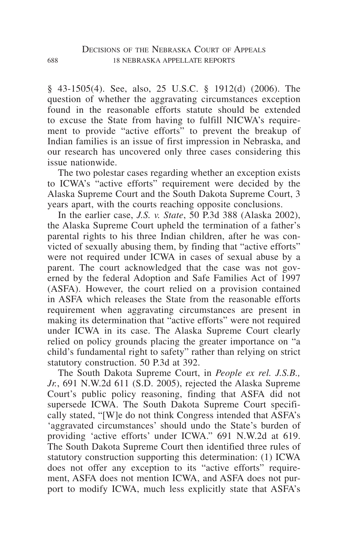§ 43-1505(4). See, also, 25 U.S.C. § 1912(d) (2006). The question of whether the aggravating circumstances exception found in the reasonable efforts statute should be extended to excuse the State from having to fulfill NICWA's requirement to provide "active efforts" to prevent the breakup of Indian families is an issue of first impression in Nebraska, and our research has uncovered only three cases considering this issue nationwide.

The two polestar cases regarding whether an exception exists to ICWA's "active efforts" requirement were decided by the Alaska Supreme Court and the South Dakota Supreme Court, 3 years apart, with the courts reaching opposite conclusions.

In the earlier case, *J.S. v. State*, 50 P.3d 388 (Alaska 2002), the Alaska Supreme Court upheld the termination of a father's parental rights to his three Indian children, after he was convicted of sexually abusing them, by finding that "active efforts" were not required under ICWA in cases of sexual abuse by a parent. The court acknowledged that the case was not governed by the federal Adoption and Safe Families Act of 1997 (ASFA). However, the court relied on a provision contained in ASFA which releases the State from the reasonable efforts requirement when aggravating circumstances are present in making its determination that "active efforts" were not required under ICWA in its case. The Alaska Supreme Court clearly relied on policy grounds placing the greater importance on "a child's fundamental right to safety" rather than relying on strict statutory construction. 50 P.3d at 392.

The South Dakota Supreme Court, in *People ex rel. J.S.B., Jr.*, 691 N.W.2d 611 (S.D. 2005), rejected the Alaska Supreme Court's public policy reasoning, finding that ASFA did not supersede ICWA. The South Dakota Supreme Court specifically stated, "[W]e do not think Congress intended that ASFA's 'aggravated circumstances' should undo the State's burden of providing 'active efforts' under ICWA." 691 N.W.2d at 619. The South Dakota Supreme Court then identified three rules of statutory construction supporting this determination: (1) ICWA does not offer any exception to its "active efforts" requirement, ASFA does not mention ICWA, and ASFA does not purport to modify ICWA, much less explicitly state that ASFA's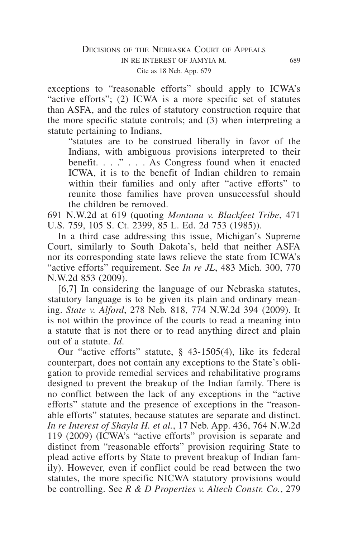exceptions to "reasonable efforts" should apply to ICWA's "active efforts"; (2) ICWA is a more specific set of statutes than ASFA, and the rules of statutory construction require that the more specific statute controls; and (3) when interpreting a statute pertaining to Indians,

"statutes are to be construed liberally in favor of the Indians, with ambiguous provisions interpreted to their benefit. . . ." . . . As Congress found when it enacted ICWA, it is to the benefit of Indian children to remain within their families and only after "active efforts" to reunite those families have proven unsuccessful should the children be removed.

691 N.W.2d at 619 (quoting *Montana v. Blackfeet Tribe*, 471 U.S. 759, 105 S. Ct. 2399, 85 L. Ed. 2d 753 (1985)).

In a third case addressing this issue, Michigan's Supreme Court, similarly to South Dakota's, held that neither ASFA nor its corresponding state laws relieve the state from ICWA's "active efforts" requirement. See *In re JL*, 483 Mich. 300, 770 N.W.2d 853 (2009).

[6,7] In considering the language of our Nebraska statutes, statutory language is to be given its plain and ordinary meaning. *State v. Alford*, 278 Neb. 818, 774 N.W.2d 394 (2009). It is not within the province of the courts to read a meaning into a statute that is not there or to read anything direct and plain out of a statute. *Id*.

Our "active efforts" statute, § 43-1505(4), like its federal counterpart, does not contain any exceptions to the State's obligation to provide remedial services and rehabilitative programs designed to prevent the breakup of the Indian family. There is no conflict between the lack of any exceptions in the "active efforts" statute and the presence of exceptions in the "reasonable efforts" statutes, because statutes are separate and distinct. *In re Interest of Shayla H. et al.*, 17 Neb. App. 436, 764 N.W.2d 119 (2009) (ICWA's "active efforts" provision is separate and distinct from "reasonable efforts" provision requiring State to plead active efforts by State to prevent breakup of Indian family). However, even if conflict could be read between the two statutes, the more specific NICWA statutory provisions would be controlling. See *R & D Properties v. Altech Constr. Co.*, 279